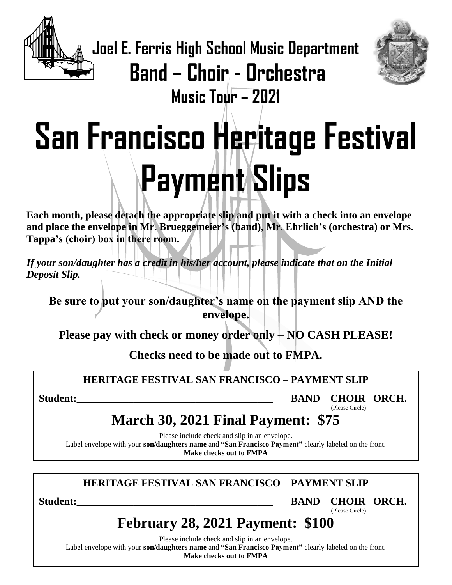

**Joel E. Ferris High School Music Department**



**Band – Choir - Orchestra Music Tour – 2021**

# **San Francisco Heritage Festival Payment Slips**

**Each month, please detach the appropriate slip and put it with a check into an envelope and place the envelope in Mr. Brueggemeier's (band), Mr. Ehrlich's (orchestra) or Mrs. Tappa's (choir) box in there room.** 

*If your son/daughter has a credit in his/her account, please indicate that on the Initial Deposit Slip.*

**Be sure to put your son/daughter's name on the payment slip AND the envelope.**

**Please pay with check or money order only – NO CASH PLEASE!**

**Checks need to be made out to FMPA.**

## **HERITAGE FESTIVAL SAN FRANCISCO – PAYMENT SLIP**

Student: **BAND CHOIR ORCH.** 

(Please Circle)

# **March 30, 2021 Final Payment: \$75**

Please include check and slip in an envelope. Label envelope with your **son/daughters name** and **"San Francisco Payment"** clearly labeled on the front. **Make checks out to FMPA**

## **HERITAGE FESTIVAL SAN FRANCISCO – PAYMENT SLIP**

Student: BAND CHOIR ORCH. (Please Circle)

# **February 28, 2021 Payment: \$100**

Please include check and slip in an envelope.

Label envelope with your **son/daughters name** and **"San Francisco Payment"** clearly labeled on the front.

**Make checks out to FMPA**